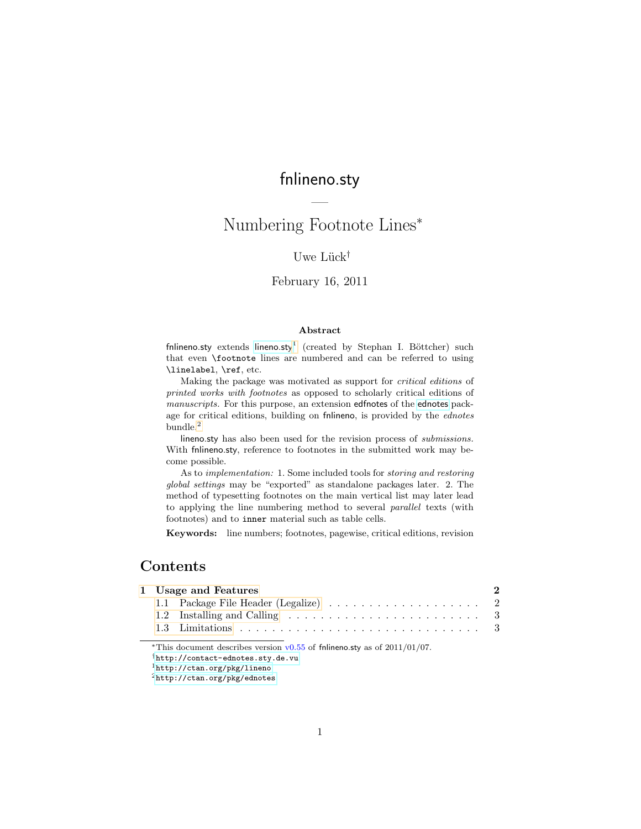# fnlineno.sty

—

# Numbering Footnote Lines<sup>∗</sup>

## Uwe Lück<sup>†</sup>

## February 16, 2011

#### Abstract

fn[lineno.sty](http://ctan.org/pkg/lineno) extends lineno.sty<sup>[1](#page-0-0)</sup> (created by Stephan I. Böttcher) such that even \footnote lines are numbered and can be referred to using \linelabel, \ref, etc.

Making the package was motivated as support for critical editions of printed works with footnotes as opposed to scholarly critical editions of manuscripts. For this purpose, an extension edfnotes of the [ednotes](http://ctan.org/pkg/ednotes) package for critical editions, building on fnlineno, is provided by the ednotes bundle.<sup>[2](#page-0-1)</sup>

lineno.sty has also been used for the revision process of *submissions*. With fnlineno.sty, reference to footnotes in the submitted work may become possible.

As to implementation: 1. Some included tools for storing and restoring global settings may be "exported" as standalone packages later. 2. The method of typesetting footnotes on the main vertical list may later lead to applying the line numbering method to several parallel texts (with footnotes) and to inner material such as table cells.

Keywords: line numbers; footnotes, pagewise, critical editions, revision

## Contents

|  | 1 Usage and Features | 2 |
|--|----------------------|---|
|  |                      |   |
|  |                      |   |
|  |                      |   |
|  |                      |   |

\*This document describes version  $v0.55$  of fnlineno.sty as of 2011/01/07.

†<http://contact-ednotes.sty.de.vu>

<span id="page-0-0"></span><sup>1</sup><http://ctan.org/pkg/lineno>

<span id="page-0-1"></span> $^2$ <http://ctan.org/pkg/ednotes>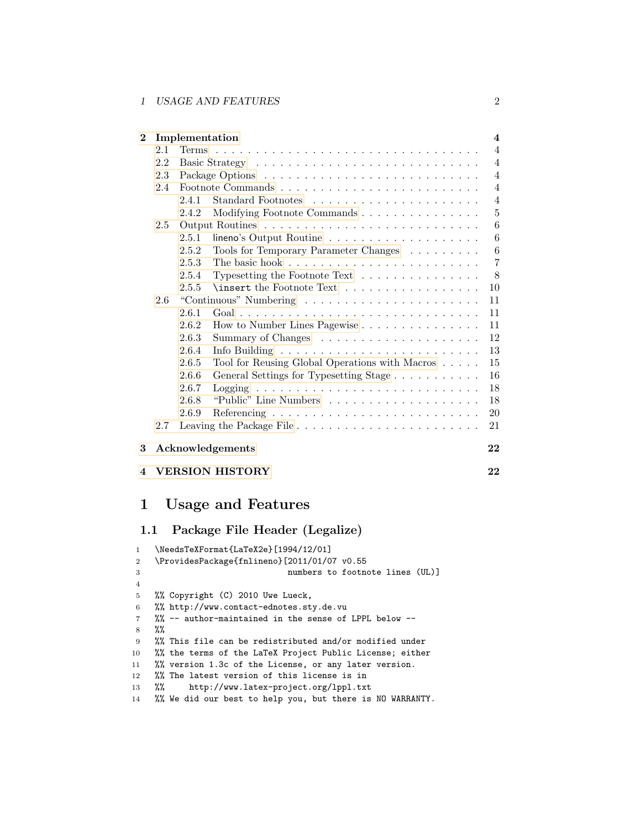## 1 USAGE AND FEATURES 2

| $\bf{2}$               |     |       | Implementation                                                               | $\overline{\mathbf{4}}$ |
|------------------------|-----|-------|------------------------------------------------------------------------------|-------------------------|
|                        | 2.1 |       |                                                                              | $\overline{4}$          |
|                        | 2.2 |       |                                                                              | $\overline{4}$          |
|                        | 2.3 |       |                                                                              | $\overline{4}$          |
|                        | 2.4 |       |                                                                              | $\overline{4}$          |
|                        |     | 2.4.1 |                                                                              | $\overline{4}$          |
|                        |     | 2.4.2 | Modifying Footnote Commands                                                  | $\overline{5}$          |
|                        | 2.5 |       |                                                                              | 6                       |
|                        |     | 2.5.1 | $lineo's Output Routine       $                                              | 6                       |
|                        |     | 2.5.2 | Tools for Temporary Parameter Changes                                        | 6                       |
|                        |     | 2.5.3 |                                                                              | $\overline{7}$          |
|                        |     | 2.5.4 | Typesetting the Footnote Text $\ldots \ldots \ldots \ldots \ldots$           | 8                       |
|                        |     | 2.5.5 | \insert the Footnote Text                                                    | 10                      |
|                        | 2.6 |       |                                                                              | 11                      |
|                        |     | 2.6.1 | $Goal \ldots \ldots \ldots \ldots \ldots \ldots \ldots \ldots \ldots \ldots$ | 11                      |
|                        |     | 2.6.2 | How to Number Lines Pagewise                                                 | 11                      |
|                        |     | 2.6.3 |                                                                              | 12                      |
|                        |     | 2.6.4 |                                                                              | 13                      |
|                        |     | 2.6.5 | Tool for Reusing Global Operations with Macros                               | 15                      |
|                        |     | 2.6.6 | General Settings for Typesetting Stage                                       | 16                      |
|                        |     | 2.6.7 |                                                                              | 18                      |
|                        |     | 2.6.8 |                                                                              | 18                      |
|                        |     | 2.6.9 |                                                                              | 20                      |
|                        | 2.7 |       |                                                                              | 21                      |
| 3                      |     |       | Acknowledgements                                                             | 22                      |
| $\boldsymbol{\Lambda}$ |     |       | <b>VERSION HISTORY</b>                                                       | 22                      |

# <span id="page-1-0"></span>1 Usage and Features

## <span id="page-1-1"></span>1.1 Package File Header (Legalize)

| 1              | \NeedsTeXFormat{LaTeX2e}[1994/12/01]                      |
|----------------|-----------------------------------------------------------|
| $\overline{2}$ | \ProvidesPackage{fnlineno}[2011/01/07 v0.55               |
| 3              | numbers to footnote lines (UL)]                           |
| $\overline{4}$ |                                                           |
| 5              | %% Copyright (C) 2010 Uwe Lueck,                          |
| 6              | %% http://www.contact-ednotes.sty.de.vu                   |
| $\overline{7}$ | %% -- author-maintained in the sense of LPPL below --     |
| 8              | $\%$                                                      |
| 9              | %% This file can be redistributed and/or modified under   |
| 10             | %% the terms of the LaTeX Project Public License; either  |
| 11             | %% version 1.3c of the License, or any later version.     |
| 12             | %% The latest version of this license is in               |
| 13             | http://www.latex-project.org/lppl.txt<br>$\frac{9}{2}$    |
| 14             | %% We did our best to help you, but there is NO WARRANTY. |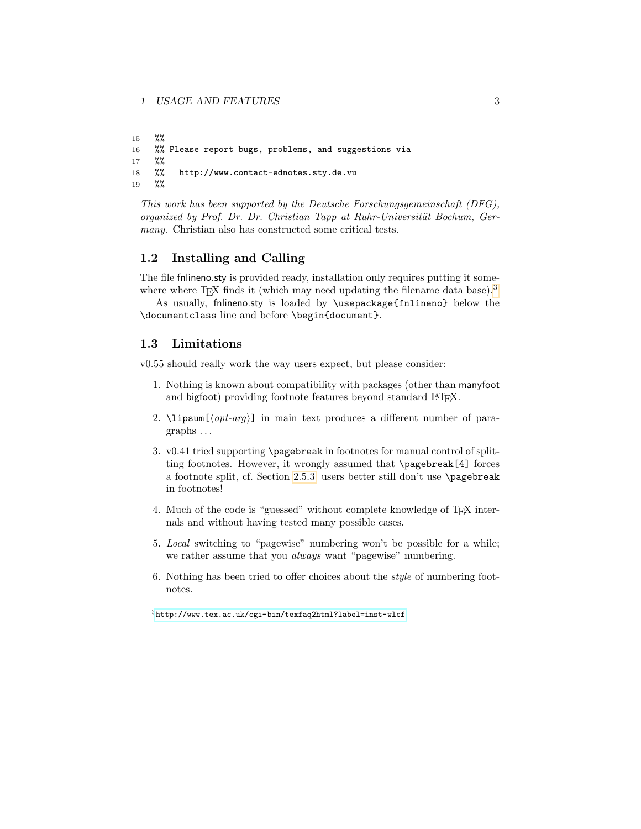```
15 %%
16 %% Please report bugs, problems, and suggestions via
17 %%
18 %% http://www.contact-ednotes.sty.de.vu
19 %%
```
This work has been supported by the Deutsche Forschungsgemeinschaft (DFG), organized by Prof. Dr. Dr. Christian Tapp at Ruhr-Universität Bochum, Germany. Christian also has constructed some critical tests.

## <span id="page-2-0"></span>1.2 Installing and Calling

The file fnlineno.sty is provided ready, installation only requires putting it somewhere where  $T_{\text{F}}X$  finds it (which may need updating the filename data base).<sup>[3](#page-2-2)</sup>

As usually, fnlineno.sty is loaded by \usepackage{fnlineno} below the \documentclass line and before \begin{document}.

## <span id="page-2-1"></span>1.3 Limitations

v0.55 should really work the way users expect, but please consider:

- 1. Nothing is known about compatibility with packages (other than manyfoot and bigfoot) providing footnote features beyond standard LATFX.
- 2.  $\langle \text{opt-arg} \rangle$ ] in main text produces a different number of paragraphs . . .
- 3. v0.41 tried supporting \pagebreak in footnotes for manual control of splitting footnotes. However, it wrongly assumed that \pagebreak[4] forces a footnote split, cf. Section [2.5.3;](#page-6-0) users better still don't use \pagebreak in footnotes!
- 4. Much of the code is "guessed" without complete knowledge of TEX internals and without having tested many possible cases.
- 5. Local switching to "pagewise" numbering won't be possible for a while; we rather assume that you *always* want "pagewise" numbering.
- 6. Nothing has been tried to offer choices about the style of numbering footnotes.

<span id="page-2-2"></span><sup>3</sup><http://www.tex.ac.uk/cgi-bin/texfaq2html?label=inst-wlcf>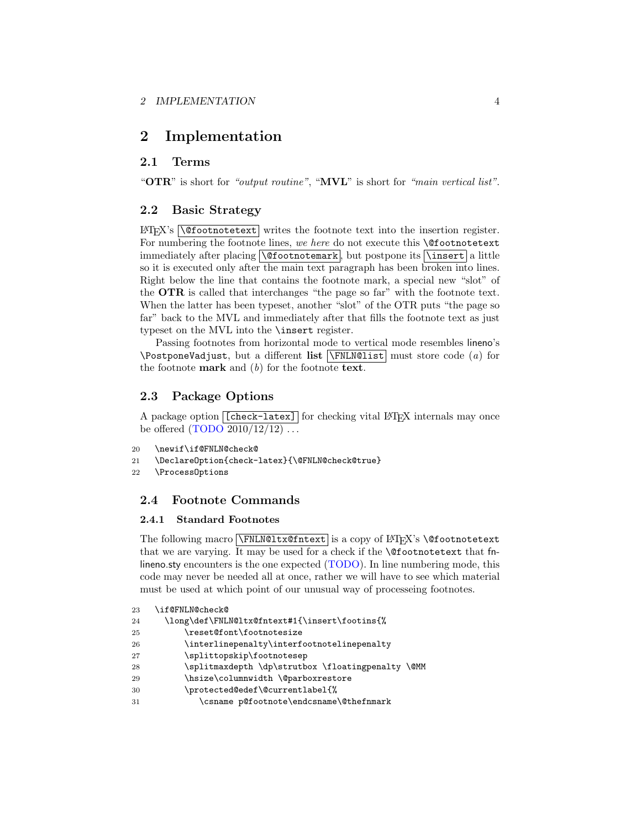## <span id="page-3-0"></span>2 Implementation

## <span id="page-3-1"></span>2.1 Terms

"OTR" is short for "output routine", "MVL" is short for "main vertical list".

## <span id="page-3-2"></span>2.2 Basic Strategy

 $\Delta E[X]$ 's  $\Theta$  abound  $\Delta E$  writes the footnote text into the insertion register. For numbering the footnote lines, we here do not execute this **\@footnotetext** immediately after placing  $\Diamond$  footnotemark, but postpone its  $\Diamond$ insert a little so it is executed only after the main text paragraph has been broken into lines. Right below the line that contains the footnote mark, a special new "slot" of the OTR is called that interchanges "the page so far" with the footnote text. When the latter has been typeset, another "slot" of the OTR puts "the page so far" back to the MVL and immediately after that fills the footnote text as just typeset on the MVL into the \insert register.

Passing footnotes from horizontal mode to vertical mode resembles lineno's \PostponeVadjust, but a different list  $\overline{\NrmEMQlist}$  must store code (a) for the footnote **mark** and  $(b)$  for the footnote **text**.

## <span id="page-3-3"></span>2.3 Package Options

A package option [[check-latex]] for checking vital LAT<sub>EX</sub> internals may once be offered  $(TODO 2010/12/12) \ldots$ 

```
20 \newif\if@FNLN@check@
```
21 \DeclareOption{check-latex}{\@FNLN@check@true}

22 \ProcessOptions

## <span id="page-3-4"></span>2.4 Footnote Commands

## <span id="page-3-5"></span>2.4.1 Standard Footnotes

The following macro **\FNLN@ltx@fntext** is a copy of LAT<sub>E</sub>X's **\@footnotetext** that we are varying. It may be used for a check if the \@footnotetext that fnlineno.sty encounters is the one expected (TODO). In line numbering mode, this code may never be needed all at once, rather we will have to see which material must be used at which point of our unusual way of processeing footnotes.

```
23 \if@FNLN@check@
24 \long\def\FNLN@ltx@fntext#1{\insert\footins{%
25 \reset@font\footnotesize
26 \interlinepenalty\interfootnotelinepenalty
27 \splittopskip\footnotesep
28 \splitmaxdepth \dp\strutbox \floatingpenalty \@MM
29 \hsize\columnwidth \@parboxrestore
30 \protected@edef\@currentlabel{%
31 \csname p@footnote\endcsname\@thefnmark
```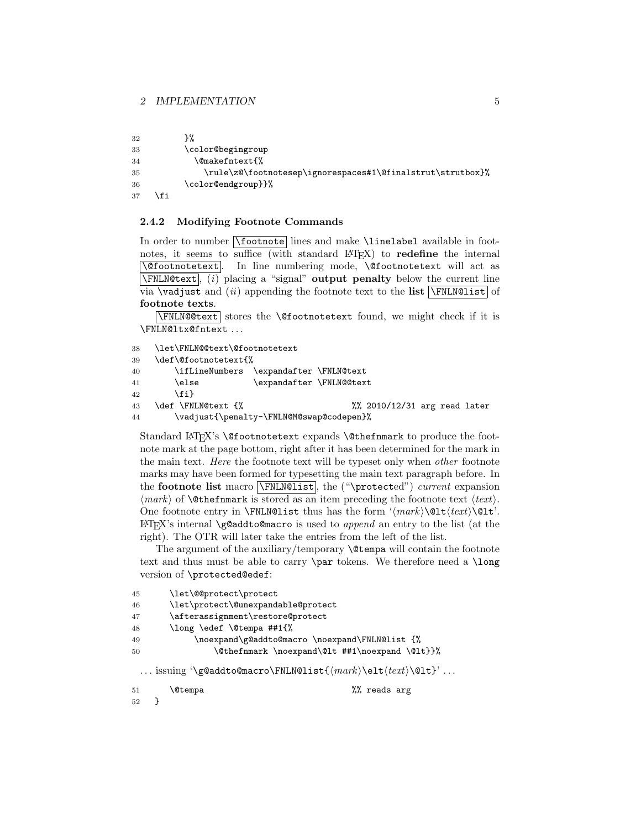```
32 }%
33 \color@begingroup
34 \@makefntext{%
35 \rule\z@\footnotesep\ignorespaces#1\@finalstrut\strutbox}%
36 \color@endgroup}}%
37 \fi
```
#### <span id="page-4-0"></span>2.4.2 Modifying Footnote Commands

In order to number  $\boxed{\footnotesize \text{foot-}}$  lines and make  $\label{eq:rel}$  linelabel available in footnotes, it seems to suffice (with standard  $\text{LTEX}$ ) to **redefine** the internal  $\sqrt{\text{gfootnotet}}$  at as In line numbering mode, \@footnotetext will act as  $\text{FNLN@text}$ , (i) placing a "signal" output penalty below the current line via  $\vee$  vadjust and (ii) appending the footnote text to the list  $\overline{\Y$ FNLN@list of footnote texts.

 $\N$ FNLN@@text stores the  $\@footnotesize\char`$ Ofootnotetext found, we might check if it is \FNLN@ltx@fntext . . .

```
38 \let\FNLN@@text\@footnotetext
39 \def\@footnotetext{%
40 \ifLineNumbers \expandafter \FNLN@text
41 \else \expandafter \FNLN@@text
42 \fi}
43 \def \FNLN@text \frac{8}{10} \frac{12}{31} arg read later
44 \vadjust{\penalty-\FNLN@M@swap@codepen}%
```
Standard LAT<sub>F</sub>X's \@footnotetext expands \@thefnmark to produce the footnote mark at the page bottom, right after it has been determined for the mark in the main text. Here the footnote text will be typeset only when other footnote marks may have been formed for typesetting the main text paragraph before. In the footnote list macro  $\FNLM@list$ , the ("\protected") current expansion  $\langle mark \rangle$  of **\@thefnmark** is stored as an item preceding the footnote text  $\langle text \rangle$ . One footnote entry in \FNLN@list thus has the form ' $\langle mark \setminus \text{Qlt}(text) \setminus \text{L}.$  $\Delta E$ FIFX's internal \g@addto@macro is used to append an entry to the list (at the right). The OTR will later take the entries from the left of the list.

The argument of the auxiliary/temporary  $\Diamond$  tempa will contain the footnote text and thus must be able to carry \par tokens. We therefore need a \long version of \protected@edef:

```
45 \let\@@protect\protect
46 \let\protect\@unexpandable@protect
47 \afterassignment\restore@protect
48 \long \edef \@tempa ##1{%
49 \noexpand\g@addto@macro \noexpand\FNLN@list {%
50 \@thefnmark \noexpand\@lt ##1\noexpand \@lt}}%
 ... issuing '\g@addto@macro\FNLN@list{\langle mark \setminus \text{elt}\setminus \text{let}\rangle' ...
```

```
51 \@tempa %% reads arg
52 }
```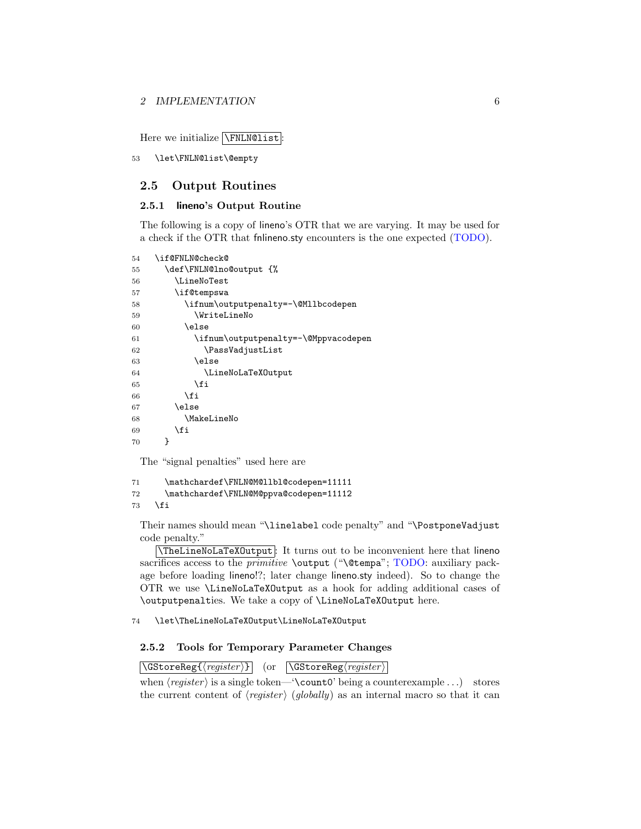Here we initialize  $\sqrt{\text{FNLN@list}}$ :

53 \let\FNLN@list\@empty

## <span id="page-5-0"></span>2.5 Output Routines

## <span id="page-5-1"></span>2.5.1 lineno's Output Routine

The following is a copy of lineno's OTR that we are varying. It may be used for a check if the OTR that fnlineno.sty encounters is the one expected (TODO).

| 54 | \if@FNLN@check@                      |
|----|--------------------------------------|
| 55 | \def\FNLN@lno@output {%              |
| 56 | \LineNoTest                          |
| 57 | \if@tempswa                          |
| 58 | \ifnum\outputpenalty=-\@Mllbcodepen  |
| 59 | \WriteLineNo                         |
| 60 | \else                                |
| 61 | \ifnum\outputpenalty=-\@Mppvacodepen |
| 62 | \PassVadjustList                     |
| 63 | \else                                |
| 64 | \LineNoLaTeX0utput                   |
| 65 | \fi                                  |
| 66 | \fi                                  |
| 67 | \else                                |
| 68 | \MakeLineNo                          |
| 69 | \fi                                  |
| 70 | ł                                    |
|    |                                      |

The "signal penalties" used here are

71 \mathchardef\FNLN@M@llbl@codepen=11111 72 \mathchardef\FNLN@M@ppva@codepen=11112 73  $\overrightarrow{fi}$ 

Their names should mean "\linelabel code penalty" and "\PostponeVadjust code penalty."

\TheLineNoLaTeXOutput : It turns out to be inconvenient here that lineno sacrifices access to the *primitive* \output ("\@tempa"; TODO: auxiliary package before loading lineno!?; later change lineno.sty indeed). So to change the OTR we use \LineNoLaTeXOutput as a hook for adding additional cases of \outputpenalties. We take a copy of \LineNoLaTeXOutput here.

74 \let\TheLineNoLaTeXOutput\LineNoLaTeXOutput

## <span id="page-5-2"></span>2.5.2 Tools for Temporary Parameter Changes

 $\sqrt{\text{GStoreReg}\{\langle register \rangle\}}$  (or  $\sqrt{\text{GStoreReg}\langle register \rangle}$ )

when  $\langle register \rangle$  is a single token—'\count0' being a counterexample ...) stores the current content of  $\langle \text{register} \rangle$  (globally) as an internal macro so that it can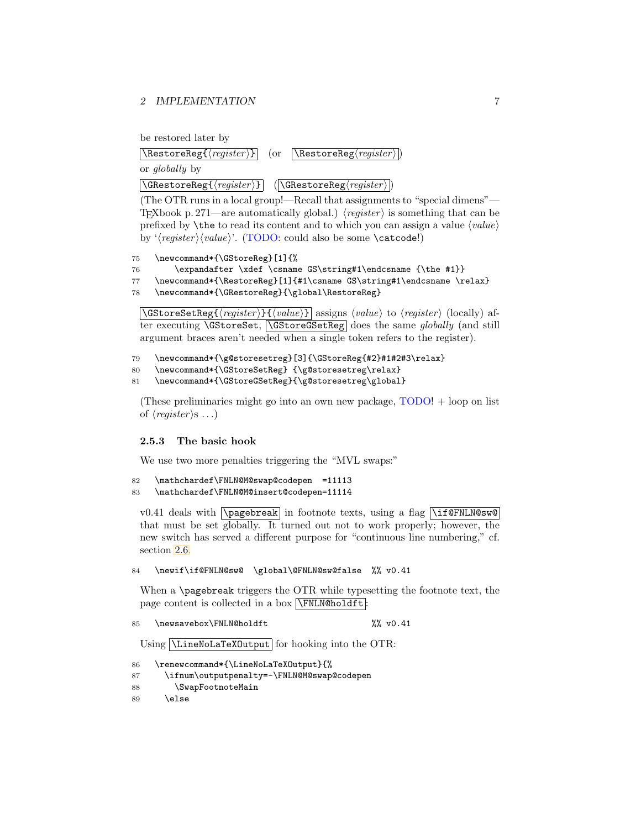be restored later by

| $\boxed{\text{RestoreReg}(\text{register})}$ (or $\boxed{\text{RestoreReg}(\text{register})}$ ) |  |
|-------------------------------------------------------------------------------------------------|--|
| or <i>globally</i> by                                                                           |  |

 $\left|\text{GRestoreReg}\{\langle register \rangle\} \right|$  ( $\left|\text{GRestoreReg}\right\rangle$  )

(The OTR runs in a local group!—Recall that assignments to "special dimens"— T<sub>EX</sub>book p. 271—are automatically global.) (*register*) is something that can be prefixed by  $\theta$  by the to read its content and to which you can assign a value  $\langle value \rangle$ by ' $\langle register \rangle \langle value \rangle'.$  (TODO: could also be some \catcode!)

75 \newcommand\*{\GStoreReg}[1]{%

```
76 \expandafter \xdef \csname GS\string#1\endcsname {\the #1}}
```
77 \newcommand\*{\RestoreReg}[1]{#1\csname GS\string#1\endcsname \relax}

78 \newcommand\*{\GRestoreReg}{\global\RestoreReg}

 $\text{GStoreSetReg}\{\langle register \rangle\}\{\langle value \rangle\}$  assigns  $\langle value \rangle$  to  $\langle register \rangle$  (locally) after executing **\GStoreSet, \GStoreGSetReg** does the same *globally* (and still argument braces aren't needed when a single token refers to the register).

```
79 \newcommand*{\g@storesetreg}[3]{\GStoreReg{#2}#1#2#3\relax}
```

```
80 \newcommand*{\GStoreSetReg} {\g@storesetreg\relax}
```

```
81 \newcommand*{\GStoreGSetReg}{\g@storesetreg\global}
```
(These preliminaries might go into an own new package,  $\text{TODO!} + \text{loop on}$  list of  $\langle register \rangle$ s ...)

## <span id="page-6-0"></span>2.5.3 The basic hook

We use two more penalties triggering the "MVL swaps:"

```
82 \mathchardef\FNLN@M@swap@codepen =11113
83 \mathchardef\FNLN@M@insert@codepen=11114
```
v0.41 deals with  $\overline{\text{pagebreak}}$  in footnote texts, using a flag  $\overline{\text{1f@FNLNGsw@}}$ that must be set globally. It turned out not to work properly; however, the new switch has served a different purpose for "continuous line numbering," cf. section [2.6.](#page-10-0)

84 \newif\if@FNLN@sw@ \global\@FNLN@sw@false %% v0.41

When a \pagebreak triggers the OTR while typesetting the footnote text, the page content is collected in a box  $\sqrt{\text{FNLN@holdft}}$ :

```
85 \newsavebox\FNLN@holdft %% v0.41
```
Using *LineNoLaTeXOutput* for hooking into the OTR:

```
86 \renewcommand*{\LineNoLaTeXOutput}{%
```

```
87 \ifnum\outputpenalty=-\FNLN@M@swap@codepen
```

```
88 \SwapFootnoteMain
```

```
89 \else
```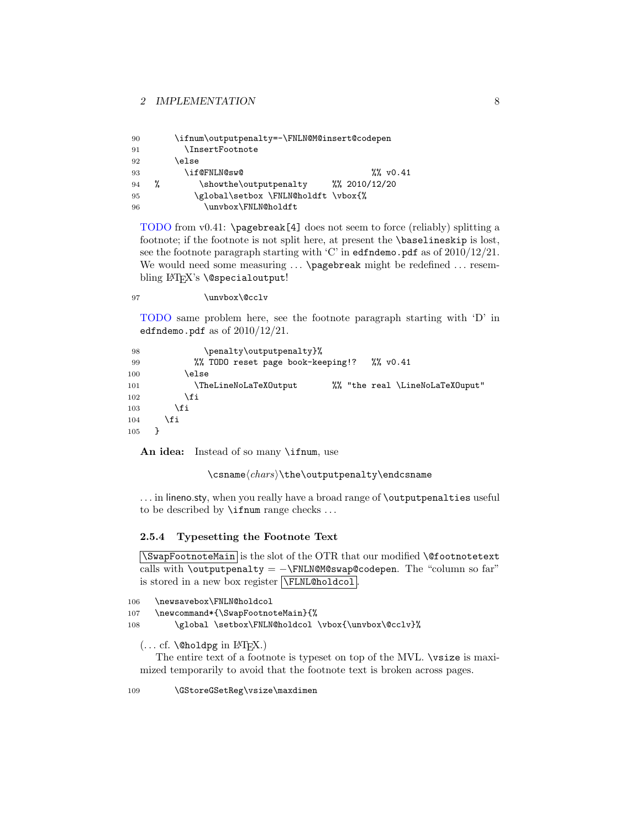| 90 |   | \ifnum\outputpenalty=-\FNLN@M@insert@codepen |                       |
|----|---|----------------------------------------------|-----------------------|
| 91 |   | <i><b>InsertFootnote</b></i>                 |                       |
| 92 |   | \else                                        |                       |
| 93 |   | \if@FNLN@sw@                                 | $\frac{20}{20}$ v0.41 |
| 94 | % | \showthe\outputpenalty                       | $\frac{2010}{12/20}$  |
| 95 |   | \global\setbox \FNLN@holdft \vbox{%          |                       |
| 96 |   | \unvbox\FNLN@holdft                          |                       |

TODO from v0.41: \pagebreak[4] does not seem to force (reliably) splitting a footnote; if the footnote is not split here, at present the \baselineskip is lost, see the footnote paragraph starting with 'C' in edfndemo.pdf as of 2010/12/21. We would need some measuring ... \pagebreak might be redefined ... resembling LAT<sub>EX</sub>'s **\@specialoutput!** 

97 \unvbox\@cclv

TODO same problem here, see the footnote paragraph starting with 'D' in edfndemo.pdf as of  $2010/12/21$ .

```
98 \penalty\outputpenalty}%
99 %% TODO reset page book-keeping!? %% v0.41
100 \else
101 \TheLineNoLaTeXOutput 7% "the real \LineNoLaTeXOuput"
102 \qquad \qquad \text{if }103 \qquad \qquad \text{if}104 \fi
105 }
```
An idea: Instead of so many **\ifnum**, use

## $\cosh(\cosh\cos\theta)$  the \outputpenalty \endcsname

... in lineno.sty, when you really have a broad range of **\outputpenalties** useful to be described by \ifnum range checks . . .

## <span id="page-7-0"></span>2.5.4 Typesetting the Footnote Text

\SwapFootnoteMain is the slot of the OTR that our modified \@footnotetext calls with \outputpenalty =  $-\$ FNLN@M@swap@codepen. The "column so far" is stored in a new box register **\FLNL@holdcol**.

```
106 \newsavebox\FNLN@holdcol
```

```
107 \newcommand*{\SwapFootnoteMain}{%
```
108 \global \setbox\FNLN@holdcol \vbox{\unvbox\@cclv}%

 $(... cf. \Diamond \Diamond \Diamond \Diamond \exists p$  in L<sup>AT</sup>FX.)

The entire text of a footnote is typeset on top of the MVL. \vsize is maximized temporarily to avoid that the footnote text is broken across pages.

109 \GStoreGSetReg\vsize\maxdimen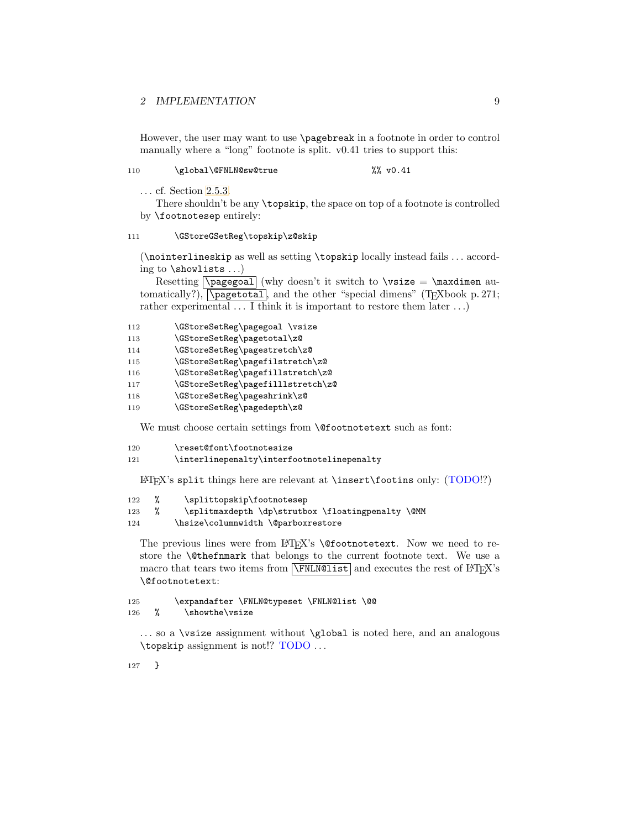However, the user may want to use \pagebreak in a footnote in order to control manually where a "long" footnote is split. v0.41 tries to support this:

110 \global\@FNLN@sw@true %% v0.41

. . . cf. Section [2.5.3.](#page-6-0)

There shouldn't be any \topskip, the space on top of a footnote is controlled by \footnotesep entirely:

#### 111 \GStoreGSetReg\topskip\z@skip

(\nointerlineskip as well as setting \topskip locally instead fails . . . according to \showlists . . .)

Resetting  $\text{pagegoal}$  (why doesn't it switch to  $\text{size} = \text{maxdimen}$ tomatically?),  $\sqrt{\text{pagetotal}}$ , and the other "special dimens" (T<sub>E</sub>Xbook p. 271; rather experimental  $\dots$  I think it is important to restore them later  $\dots$ )

| 112 | \GStoreSetReg\pagegoal \vsize |  |
|-----|-------------------------------|--|
|-----|-------------------------------|--|

- 113 \GStoreSetReg\pagetotal\z@
- 114 \GStoreSetReg\pagestretch\z@
- 115 \GStoreSetReg\pagefilstretch\z@
- 116 \GStoreSetReg\pagefillstretch\z@
- 117 \GStoreSetReg\pagefilllstretch\z@
- 118 \GStoreSetReg\pageshrink\z@
- 119 \GStoreSetReg\pagedepth\z@

We must choose certain settings from **\@footnotetext** such as font:

```
120 \reset@font\footnotesize
```
121 \interlinepenalty\interfootnotelinepenalty

 $\text{Lipx's split things here are relevant at } insert\footnotesize\text{footins only: (TODO!)?}$ 

```
122 % \splittopskip\footnotesep
```
123 % \splitmaxdepth \dp\strutbox \floatingpenalty \@MM

124 \hsize\columnwidth \@parboxrestore

The previous lines were from  $LT_kX$ 's  $\@footnot$ rothotetext. Now we need to restore the \@thefnmark that belongs to the current footnote text. We use a macro that tears two items from  $\sqrt{\text{FNLM@list}}$  and executes the rest of  $\text{LATEX's}$ \@footnotetext:

125 \expandafter \FNLN@typeset \FNLN@list \@@ 126 % \showthe\vsize

... so a \vsize assignment without \global is noted here, and an analogous \topskip assignment is not!? TODO . . .

127 }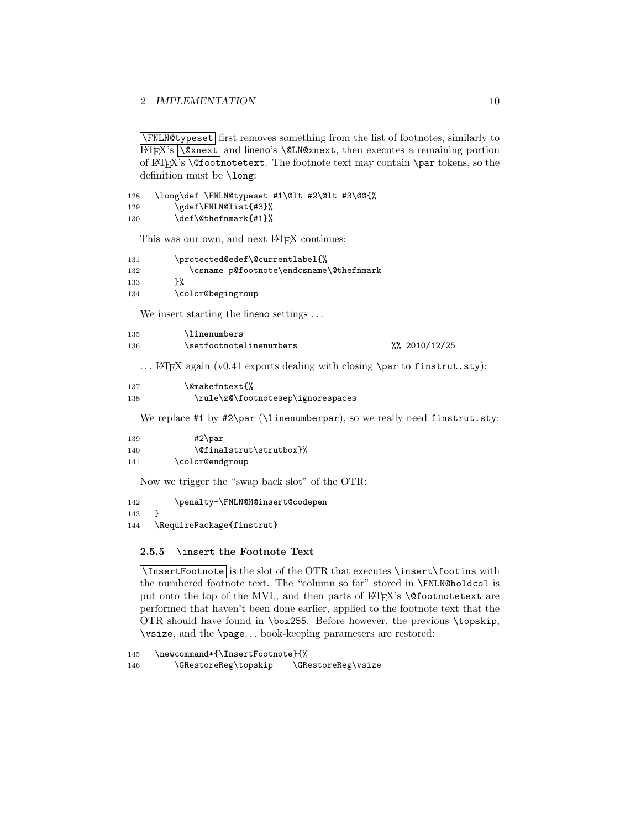\FNLN@typeset first removes something from the list of footnotes, similarly to  $\mathbb{F}$ FFX's  $\Diamond$ xnext and lineno's  $\Diamond$ LN@xnext, then executes a remaining portion of LATEX's \@footnotetext. The footnote text may contain \par tokens, so the definition must be \long:

```
128 \long\def \FNLN@typeset #1\@lt #2\@lt #3\@@{%
129 \gdef\FNLN@list{#3}%
130 \def\@thefnmark{#1}%
```
This was our own, and next LAT<sub>E</sub>X continues:

| 131 | \protected@edef\@currentlabel{%         |
|-----|-----------------------------------------|
| 132 | \csname p@footnote\endcsname\@thefnmark |
| 133 | ን%                                      |
| 134 | \color@begingroup                       |
|     |                                         |

We insert starting the lineno settings ...

| 135 | \linenumbers            |                      |
|-----|-------------------------|----------------------|
| 136 | \setfootnotelinenumbers | $\frac{2010}{12/25}$ |

... LAT<sub>E</sub>X again (v0.41 exports dealing with closing \par to finstrut.sty):

| 137 | \@makefntext{%                    |
|-----|-----------------------------------|
| 138 | \rule\z@\footnotesep\ignorespaces |

We replace #1 by #2\par (\linenumberpar), so we really need finstrut.sty:

```
139 #2\par
140 \@finalstrut\strutbox}%
141 \color@endgroup
```
Now we trigger the "swap back slot" of the OTR:

142 \penalty-\FNLN@M@insert@codepen

143 }

144 \RequirePackage{finstrut}

#### <span id="page-9-0"></span>2.5.5 \insert the Footnote Text

\InsertFootnote is the slot of the OTR that executes \insert\footins with the numbered footnote text. The "column so far" stored in \FNLN@holdcol is put onto the top of the MVL, and then parts of LATEX's **\@footnotetext** are performed that haven't been done earlier, applied to the footnote text that the OTR should have found in \box255. Before however, the previous \topskip, \vsize, and the \page. . . book-keeping parameters are restored:

145 \newcommand\*{\InsertFootnote}{% 146 \GRestoreReg\topskip \GRestoreReg\vsize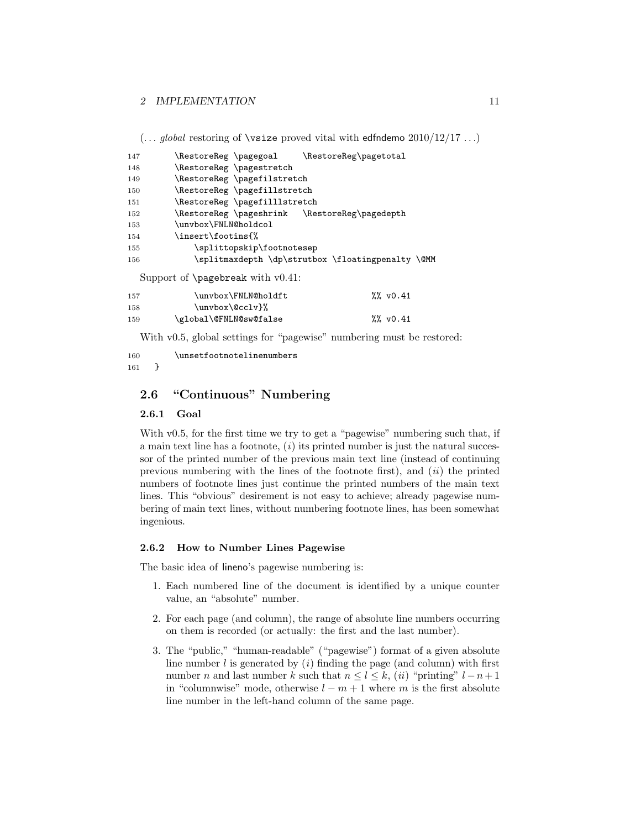$(...$  global restoring of \vsize proved vital with edfndemo  $2010/12/17...$ )

| 147 | \RestoreReg \pagegoal                        | \RestoreReg\pagetotal                             |
|-----|----------------------------------------------|---------------------------------------------------|
| 148 | \RestoreReg \pagestretch                     |                                                   |
| 149 | \RestoreReg \pagefilstretch                  |                                                   |
| 150 | \RestoreReg \pagefillstretch                 |                                                   |
| 151 | \RestoreReg \pagefilllstretch                |                                                   |
| 152 | \RestoreReg\pageshrink \RestoreReg\pagedepth |                                                   |
| 153 | \unvbox\FNLN@holdcol                         |                                                   |
| 154 | \insert\footins{%                            |                                                   |
| 155 | \splittopskip\footnotesep                    |                                                   |
| 156 |                                              | \splitmaxdepth \dp\strutbox \floatingpenalty \@MM |
|     | Support of $\text{pagebreak}$ with $v0.41$ : |                                                   |
| 157 | \unvbox\FNLN@holdft                          | $\frac{20}{20}$ v0.41                             |
| 158 | \unvbox\@cclv}%                              |                                                   |

159 \global\@FNLN@sw@false %% v0.41

With v0.5, global settings for "pagewise" numbering must be restored:

160 \unsetfootnotelinenumbers 161 }

## <span id="page-10-0"></span>2.6 "Continuous" Numbering

## <span id="page-10-1"></span>2.6.1 Goal

With v0.5, for the first time we try to get a "pagewise" numbering such that, if a main text line has a footnote,  $(i)$  its printed number is just the natural successor of the printed number of the previous main text line (instead of continuing previous numbering with the lines of the footnote first), and  $(ii)$  the printed numbers of footnote lines just continue the printed numbers of the main text lines. This "obvious" desirement is not easy to achieve; already pagewise numbering of main text lines, without numbering footnote lines, has been somewhat ingenious.

## <span id="page-10-2"></span>2.6.2 How to Number Lines Pagewise

The basic idea of lineno's pagewise numbering is:

- 1. Each numbered line of the document is identified by a unique counter value, an "absolute" number.
- 2. For each page (and column), the range of absolute line numbers occurring on them is recorded (or actually: the first and the last number).
- 3. The "public," "human-readable" ("pagewise") format of a given absolute line number  $l$  is generated by  $(i)$  finding the page (and column) with first number n and last number k such that  $n \leq l \leq k$ , (ii) "printing"  $l - n + 1$ in "columnwise" mode, otherwise  $l - m + 1$  where m is the first absolute line number in the left-hand column of the same page.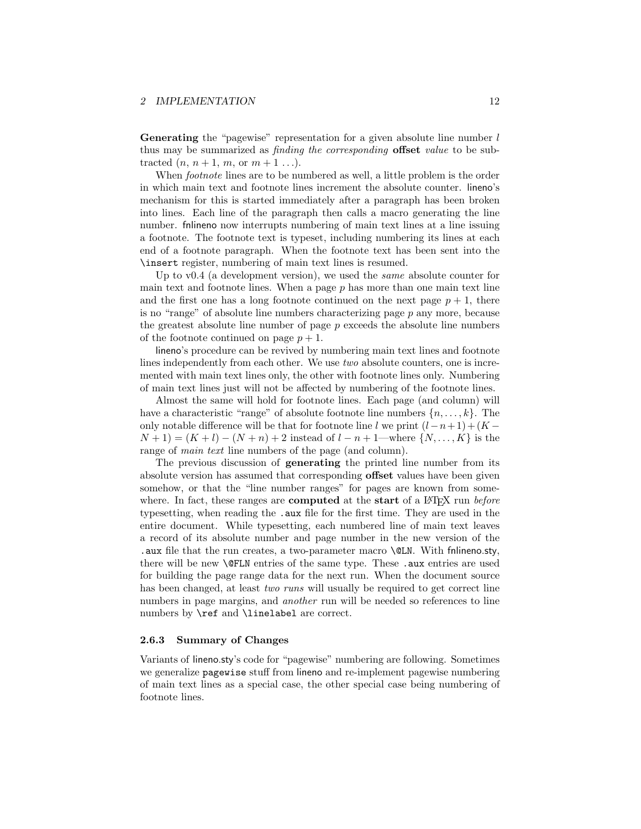**Generating** the "pagewise" representation for a given absolute line number  $l$ thus may be summarized as *finding the corresponding* **offset** value to be subtracted  $(n, n+1, m, \text{or } m+1 \ldots).$ 

When *footnote* lines are to be numbered as well, a little problem is the order in which main text and footnote lines increment the absolute counter. lineno's mechanism for this is started immediately after a paragraph has been broken into lines. Each line of the paragraph then calls a macro generating the line number. fnlineno now interrupts numbering of main text lines at a line issuing a footnote. The footnote text is typeset, including numbering its lines at each end of a footnote paragraph. When the footnote text has been sent into the \insert register, numbering of main text lines is resumed.

Up to v0.4 (a development version), we used the *same* absolute counter for main text and footnote lines. When a page  $p$  has more than one main text line and the first one has a long footnote continued on the next page  $p + 1$ , there is no "range" of absolute line numbers characterizing page  $p$  any more, because the greatest absolute line number of page  $p$  exceeds the absolute line numbers of the footnote continued on page  $p + 1$ .

lineno's procedure can be revived by numbering main text lines and footnote lines independently from each other. We use two absolute counters, one is incremented with main text lines only, the other with footnote lines only. Numbering of main text lines just will not be affected by numbering of the footnote lines.

Almost the same will hold for footnote lines. Each page (and column) will have a characteristic "range" of absolute footnote line numbers  $\{n, \ldots, k\}$ . The only notable difference will be that for footnote line l we print  $(l-n+1)+(K N+1 = (K+l) - (N+n) + 2$  instead of  $l - n + 1$ —where  $\{N, \ldots, K\}$  is the range of *main text* line numbers of the page (and column).

The previous discussion of **generating** the printed line number from its absolute version has assumed that corresponding offset values have been given somehow, or that the "line number ranges" for pages are known from somewhere. In fact, these ranges are **computed** at the start of a  $\Delta F$ <sub>EX</sub> run before typesetting, when reading the .aux file for the first time. They are used in the entire document. While typesetting, each numbered line of main text leaves a record of its absolute number and page number in the new version of the .aux file that the run creates, a two-parameter macro \@LN. With fnlineno.sty, there will be new **\@FLN** entries of the same type. These .aux entries are used for building the page range data for the next run. When the document source has been changed, at least *two runs* will usually be required to get correct line numbers in page margins, and *another* run will be needed so references to line numbers by \ref and \linelabel are correct.

#### <span id="page-11-0"></span>2.6.3 Summary of Changes

Variants of lineno.sty's code for "pagewise" numbering are following. Sometimes we generalize pagewise stuff from lineno and re-implement pagewise numbering of main text lines as a special case, the other special case being numbering of footnote lines.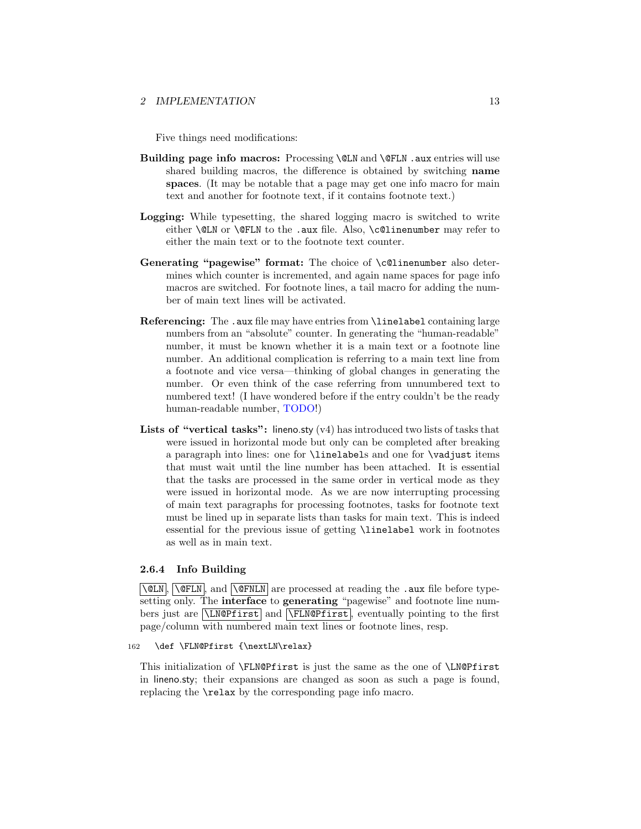Five things need modifications:

- Building page info macros: Processing \@LN and \@FLN .aux entries will use shared building macros, the difference is obtained by switching name spaces. (It may be notable that a page may get one info macro for main text and another for footnote text, if it contains footnote text.)
- Logging: While typesetting, the shared logging macro is switched to write either **\@LN** or **\@FLN** to the .aux file. Also, **\c@linenumber** may refer to either the main text or to the footnote text counter.
- Generating "pagewise" format: The choice of \c@linenumber also determines which counter is incremented, and again name spaces for page info macros are switched. For footnote lines, a tail macro for adding the number of main text lines will be activated.
- Referencing: The .aux file may have entries from \linelabel containing large numbers from an "absolute" counter. In generating the "human-readable" number, it must be known whether it is a main text or a footnote line number. An additional complication is referring to a main text line from a footnote and vice versa—thinking of global changes in generating the number. Or even think of the case referring from unnumbered text to numbered text! (I have wondered before if the entry couldn't be the ready human-readable number, TODO!)
- **Lists of "vertical tasks":** lineno.sty  $(v4)$  has introduced two lists of tasks that were issued in horizontal mode but only can be completed after breaking a paragraph into lines: one for \linelabels and one for \vadjust items that must wait until the line number has been attached. It is essential that the tasks are processed in the same order in vertical mode as they were issued in horizontal mode. As we are now interrupting processing of main text paragraphs for processing footnotes, tasks for footnote text must be lined up in separate lists than tasks for main text. This is indeed essential for the previous issue of getting \linelabel work in footnotes as well as in main text.

## <span id="page-12-0"></span>2.6.4 Info Building

 $\overline{\text{QLM}}$ ,  $\overline{\text{QFLN}}$ , and  $\overline{\text{QFNLN}}$  are processed at reading the .aux file before typesetting only. The **interface** to **generating** "pagewise" and footnote line numbers just are  $\Lambda$  and  $\Lambda$ ,  $\Lambda$ , eventually pointing to the first page/column with numbered main text lines or footnote lines, resp.

#### 162 \def \FLN@Pfirst {\nextLN\relax}

This initialization of \FLN@Pfirst is just the same as the one of \LN@Pfirst in lineno.sty; their expansions are changed as soon as such a page is found, replacing the \relax by the corresponding page info macro.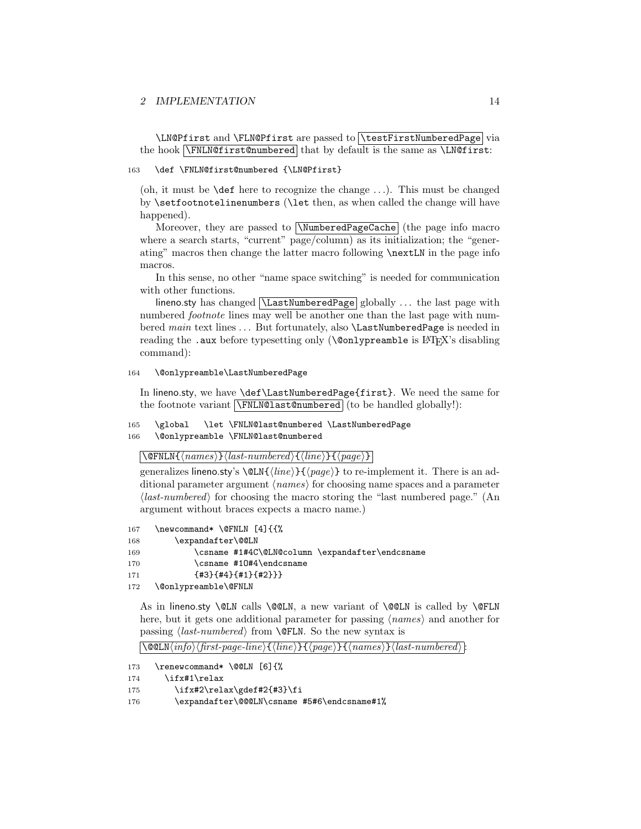```
\LN@Pfirst and \FLN@Pfirst are passed to \testFirstNumberedPage via
the hook \sqrt{\text{NLMOfirst@numbered}} that by default is the same as \text{LMOfirst}:
```
#### 163 \def \FNLN@first@numbered {\LN@Pfirst}

(oh, it must be  $\det$  here to recognize the change ...). This must be changed by \setfootnotelinenumbers (\let then, as when called the change will have happened).

Moreover, they are passed to **NumberedPageCache** (the page info macro where a search starts, "current" page/column) as its initialization; the "generating" macros then change the latter macro following \nextLN in the page info macros.

In this sense, no other "name space switching" is needed for communication with other functions.

lineno.sty has changed *\LastNumberedPage* globally ... the last page with numbered *footnote* lines may well be another one than the last page with numbered main text lines ... But fortunately, also **\LastNumberedPage** is needed in reading the .aux before typesetting only (\@onlypreamble is LATEX's disabling command):

#### 164 \@onlypreamble\LastNumberedPage

In lineno.sty, we have \def\LastNumberedPage{first}. We need the same for the footnote variant **\FNLN@last@numbered** (to be handled globally!):

165 \global \let \FNLN@last@numbered \LastNumberedPage 166 \@onlypreamble \FNLN@last@numbered

## $\overline{\text{QFNLN}\{\langle names \rangle\}\langle last-numbered \rangle\{\langle line \rangle\}\{\langle page \rangle\}}$

generalizes lineno.sty's  $\@LM{\langle line \rangle}{\langle page \rangle}$  to re-implement it. There is an additional parameter argument  $\langle names \rangle$  for choosing name spaces and a parameter  $\langle$ *last-numbered*) for choosing the macro storing the "last numbered page." (An argument without braces expects a macro name.)

```
167 \newcommand* \@FNLN [4]{{%
```

```
168 \expandafter\@@LN
```

```
169 \csname #1#4C\@LN@column \expandafter\endcsname
```

```
170 \csname #10#4\endcsname
```

```
171 {#3}{#4}{#1}{#2}}}
```

```
172 \@onlypreamble\@FNLN
```
As in lineno.sty  $@LM$  calls  $@CLN$ , a new variant of  $@CLN$  is called by  $@FLN$ here, but it gets one additional parameter for passing  $\langle names \rangle$  and another for passing  $\langle last-numbered \rangle$  from **\@FLN**. So the new syntax is

```
\langle \text{QQLN}(info) \langle first\text{-}page\text{-}line \rangle \{ \langle base \rangle\} \{ \langle names \rangle\} \langle last\text{-}numbered \rangle
```

```
173 \renewcommand* \@@LN [6]{%
```

```
174 \ifx#1\relax
```

```
175 \iint x#2\relax\gdef#2{#3}\t
```

```
176 \expandafter\@@@LN\csname #5#6\endcsname#1%
```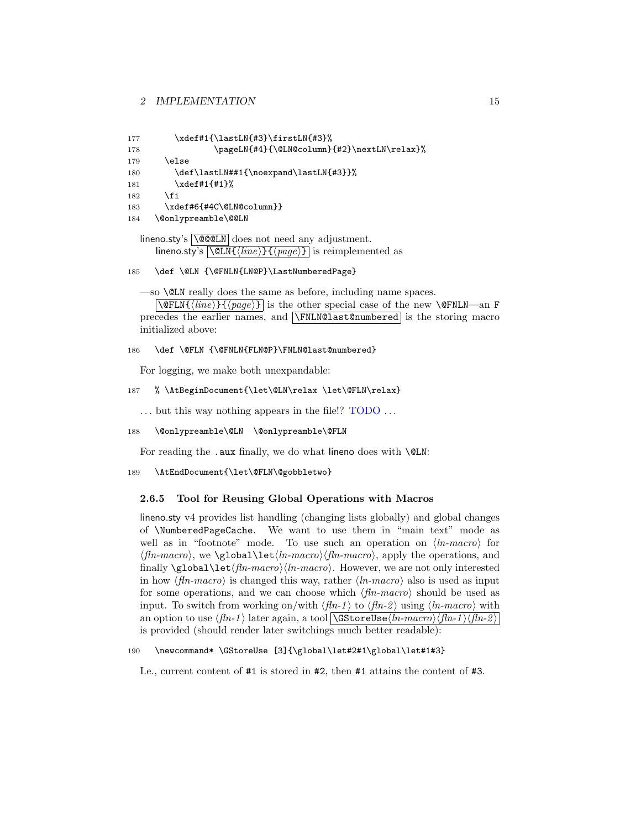```
177 \xdef#1{\lastLN{#3}\firstLN{#3}%
178 \pageLN{#4}{\@LN@column}{#2}\nextLN\relax}%
179 \leq \leq \leq \leq \leq \leq \leq \leq \leq \leq \leq \leq \leq \leq \leq \leq \leq \leq \leq \leq \leq \leq \leq \leq \leq \leq \leq \leq \leq \leq \leq \leq \leq \leq \leq \leq180 \def\lastLN##1{\noexpand\lastLN{#3}}%
181 \xdef#1{#1}%
182 \fi
183 \xdef#6{#4C\@LN@column}}
184 \@onlypreamble\@@LN
```

```
\limeno.sty's \log\sum \cdot \cdot does not need any adjustment.
     lineno.sty's \langle \text{MLN}\{\langle line \rangle\}\{\langle page \rangle\}\is reimplemented as
```

```
185 \def \@LN {\@FNLN{LN@P}\LastNumberedPage}
```
—so \@LN really does the same as before, including name spaces.

 $\overline{\text{PerLN}(\text{line})}\$  is the other special case of the new \@FNLN—an F precedes the earlier names, and \FNLN@last@numbered is the storing macro initialized above:

186 \def \@FLN {\@FNLN{FLN@P}\FNLN@last@numbered}

For logging, we make both unexpandable:

```
187 % \AtBeginDocument{\let\@LN\relax \let\@FLN\relax}
```
 $\dots$  but this way nothing appears in the file!?  $\text{TODO} \dots$ 

```
188 \@onlypreamble\@LN \@onlypreamble\@FLN
```
For reading the .aux finally, we do what lineno does with **\@LN**:

```
189 \AtEndDocument{\let\@FLN\@gobbletwo}
```
## <span id="page-14-0"></span>2.6.5 Tool for Reusing Global Operations with Macros

lineno.sty v4 provides list handling (changing lists globally) and global changes of \NumberedPageCache. We want to use them in "main text" mode as well as in "footnote" mode. To use such an operation on  $\langle \textit{In-macro} \rangle$  for  $\langle fin\text{-}macro \rangle$ , we  $\geq \text{global}\let\langle ln\text{-}macro \rangle$ , apply the operations, and finally  $\delta \Delta \let \langle fin\-macro \rangle \langle ln\-macro \rangle$ . However, we are not only interested in how  $\langle \text{fln-macro} \rangle$  is changed this way, rather  $\langle \text{ln-macro} \rangle$  also is used as input for some operations, and we can choose which  $\langle fin\text{-}macro \rangle$  should be used as input. To switch from working on/with  $\langle fin-1 \rangle$  to  $\langle fin-2 \rangle$  using  $\langle In-macro \rangle$  with an option to use  $\langle fin-1 \rangle$  later again, a tool  $\sqrt{GStoreUse\langle ln\text{-}macro \rangle \langle fin-1 \rangle \langle fin-2 \rangle}$ is provided (should render later switchings much better readable):

#### 190 \newcommand\* \GStoreUse [3]{\global\let#2#1\global\let#1#3}

I.e., current content of #1 is stored in #2, then #1 attains the content of #3.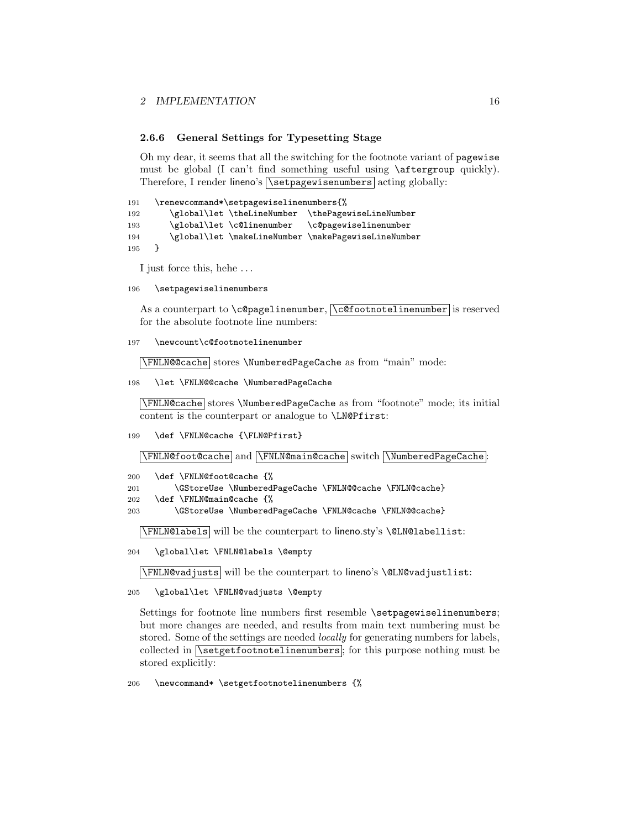#### <span id="page-15-0"></span>2.6.6 General Settings for Typesetting Stage

Oh my dear, it seems that all the switching for the footnote variant of pagewise must be global (I can't find something useful using \aftergroup quickly). Therefore, I render lineno's  $\setminus$  setpagewisenumbers acting globally:

```
191 \renewcommand*\setpagewiselinenumbers{%
192 \global\let \theLineNumber \thePagewiseLineNumber
193 \global\let \c@linenumber \c@pagewiselinenumber
194 \global\let \makeLineNumber \makePagewiseLineNumber
195 }
```
I just force this, hehe . . .

196 \setpagewiselinenumbers

As a counterpart to  $\c{e}$  pagelinenumber,  $\c{e}$  footnotelinenumber is reserved for the absolute footnote line numbers:

197 \newcount\c@footnotelinenumber

\FNLN@@cache stores \NumberedPageCache as from "main" mode:

198 \let \FNLN@@cache \NumberedPageCache

\FNLN@cache stores \NumberedPageCache as from "footnote" mode; its initial content is the counterpart or analogue to \LN@Pfirst:

199 \def \FNLN@cache {\FLN@Pfirst}

\FNLN@foot@cache and \FNLN@main@cache switch \NumberedPageCache

- 200 \def \FNLN@foot@cache {%
- 201 \GStoreUse \NumberedPageCache \FNLN@@cache \FNLN@cache}
- 202 \def \FNLN@main@cache {%

203 \GStoreUse \NumberedPageCache \FNLN@cache \FNLN@@cache}

\FNLN@labels will be the counterpart to lineno.sty's \@LN@labellist:

204 \global\let \FNLN@labels \@empty

\FNLN@vadjusts will be the counterpart to lineno's \@LN@vadjustlist:

205 \global\let \FNLN@vadjusts \@empty

Settings for footnote line numbers first resemble \setpagewiselinenumbers; but more changes are needed, and results from main text numbering must be stored. Some of the settings are needed *locally* for generating numbers for labels, collected in  $\sqrt{\text{setgetfootnotelinenumbers}}$ ; for this purpose nothing must be stored explicitly:

206 \newcommand\* \setgetfootnotelinenumbers {%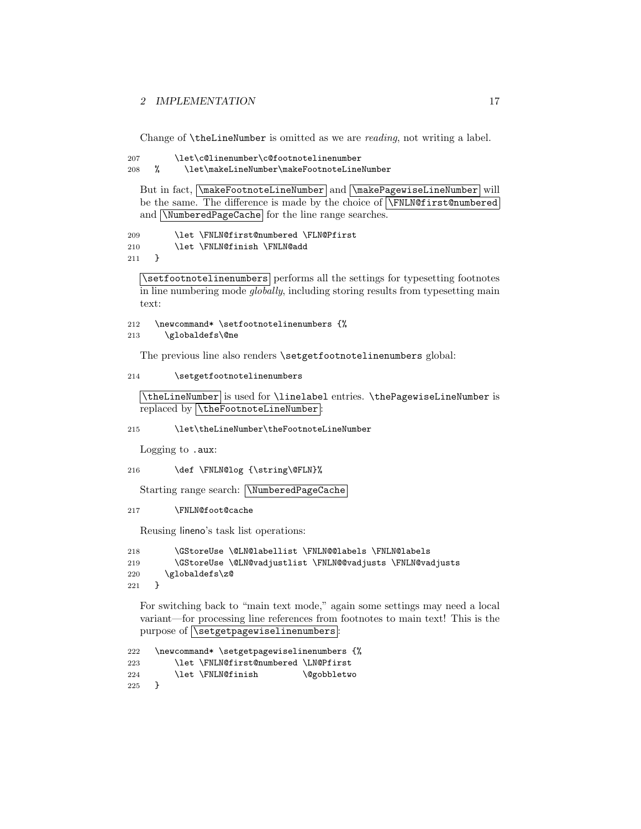Change of **\theLineNumber** is omitted as we are *reading*, not writing a label.

```
207 \let\c@linenumber\c@footnotelinenumber
```

```
208 % \let\makeLineNumber\makeFootnoteLineNumber
```
But in fact,  $\mathsf{ToothoteLineNumber}$  and  $\mathsf{PagePageValue}$  will be the same. The difference is made by the choice of \FNLN@first@numbered and **NumberedPageCache** for the line range searches.

```
209 \let \FNLN@first@numbered \FLN@Pfirst
210 \let \FNLN@finish \FNLN@add<br>211 \
211 }
```
\setfootnotelinenumbers performs all the settings for typesetting footnotes in line numbering mode globally, including storing results from typesetting main text:

```
212 \newcommand* \setfootnotelinenumbers {%
```
213 \globaldefs\@ne

The previous line also renders \setgetfootnotelinenumbers global:

```
214 \setgetfootnotelinenumbers
```

```
\theLineNumber is used for \linelabel entries. \thePagewiseLineNumber is
replaced by \theFootnoteLineNumber:
```
215 \let\theLineNumber\theFootnoteLineNumber

Logging to .aux:

```
216 \def \FNLN@log {\string\@FLN}%
```
Starting range search: \NumberedPageCache

```
217 \FNLN@foot@cache
```
Reusing lineno's task list operations:

```
218 \GStoreUse \@LN@labellist \FNLN@@labels \FNLN@labels
219 \GStoreUse \@LN@vadjustlist \FNLN@@vadjusts \FNLN@vadjusts
220 \globaldefs\z@
221 }
```
For switching back to "main text mode," again some settings may need a local variant—for processing line references from footnotes to main text! This is the purpose of  $\sqrt{\text{setgeviselinenumbers}}$ :

```
222 \newcommand* \setgetpagewiselinenumbers {%
223 \let \FNLN@first@numbered \LN@Pfirst
224 \let \FNLN@finish \@gobbletwo
225 }
```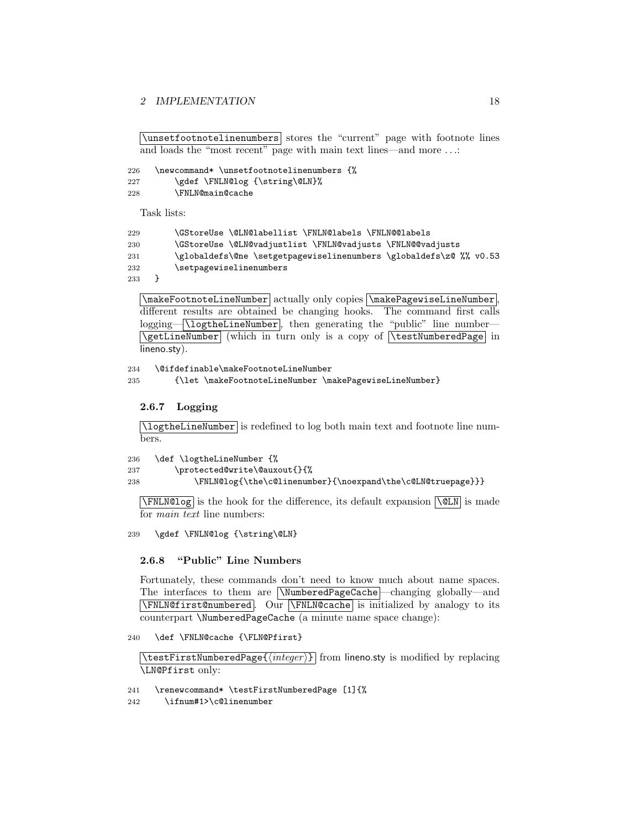```
\sqrt{\text{unsetfootnotelinenumbers}} stores the "current" page with footnote lines
and loads the "most recent" page with main text lines—and more . . .:
```
226 \newcommand\* \unsetfootnotelinenumbers {% 227 \gdef \FNLN@log {\string\@LN}% 228 \FNLN@main@cache

Task lists:

```
229 \GStoreUse \@LN@labellist \FNLN@labels \FNLN@@labels
230 \GStoreUse \@LN@vadjustlist \FNLN@vadjusts \FNLN@@vadjusts
231 \globaldefs\@ne \setgetpagewiselinenumbers \globaldefs\z@ %% v0.53
232 \setpagewiselinenumbers
```
233 }

 $\boxed{\mathsf{makefootnotelineNumber}}$  actually only copies  $\boxed{\mathsf{makePage}$ iseLineNumber, different results are obtained be changing hooks. The command first calls logging— \logtheLineNumber, then generating the "public" line number— \getLineNumber (which in turn only is a copy of \testNumberedPage in lineno.sty).

234 \@ifdefinable\makeFootnoteLineNumber 235 {\let \makeFootnoteLineNumber \makePagewiseLineNumber}

### <span id="page-17-0"></span>2.6.7 Logging

\logtheLineNumber is redefined to log both main text and footnote line numbers.

```
236 \def \logtheLineNumber {%
237 \protected@write\@auxout{}{%
238 \FNLN@log{\the\c@linenumber}{\noexpand\the\c@LN@truepage}}}
```
 $\sqrt{\text{FNLN@log}}$  is the hook for the difference, its default expansion  $\sqrt{\text{QLN}}$  is made for main text line numbers:

239 \gdef \FNLN@log {\string\@LN}

#### <span id="page-17-1"></span>2.6.8 "Public" Line Numbers

Fortunately, these commands don't need to know much about name spaces. The interfaces to them are NumberedPageCache —changing globally—and \FNLN@first@numbered . Our \FNLN@cache is initialized by analogy to its counterpart \NumberedPageCache (a minute name space change):

240 \def \FNLN@cache {\FLN@Pfirst}

 $\text{Test}\$  is modified by replacing  $\{\langle \text{integer} \rangle\}$  from lineno.sty is modified by replacing \LN@Pfirst only:

241 \renewcommand\* \testFirstNumberedPage [1]{%

242 \ifnum#1>\c@linenumber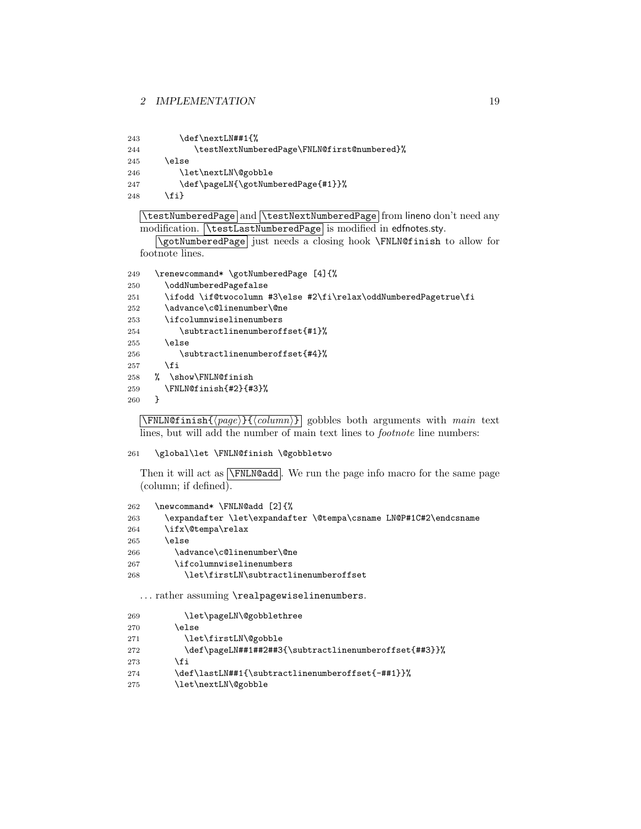- 243 \def\nextLN##1{% \testNextNumberedPage\FNLN@first@numbered}% \else 246 \let\nextLN\@gobble 247 \def\pageLN{\gotNumberedPage{#1}}%
- 248 \fi}

```
\testNumberedPage and \testNextNumberedPage from lineno don't need any
modification. \testLastNumberedPage is modified in edfnotes.sty.
```
\gotNumberedPage just needs a closing hook \FNLN@finish to allow for footnote lines.

```
249 \renewcommand* \gotNumberedPage [4]{%
250 \oddNumberedPagefalse
251 \ifodd \if@twocolumn #3\else #2\fi\relax\oddNumberedPagetrue\fi
252 \advance\c@linenumber\@ne
253 \ifcolumnwiselinenumbers
254 \subtractlinenumberoffset{#1}%
255 \else
256 \subtractlinenumberoffset{#4}%
257 \fi
258 % \show\FNLN@finish
259 \FNLN@finish{#2}{#3}%
260 }
```
 $\overline{\text{NFNLN@finish}\{\text{page}\}\{\text{column}\}\}$  gobbles both arguments with main text lines, but will add the number of main text lines to *footnote* line numbers:

#### \global\let \FNLN@finish \@gobbletwo

Then it will act as  $\sqrt{\text{FNLN}\text{Qadd}}$ . We run the page info macro for the same page (column; if defined).

```
262 \newcommand* \FNLN@add [2]{%
263 \expandafter \let\expandafter \@tempa\csname LN@P#1C#2\endcsname
264 \ifx\@tempa\relax
265 \else
266 \advance\c@linenumber\@ne
267 \ifcolumnwiselinenumbers
268 \let\firstLN\subtractlinenumberoffset
```
... rather assuming \realpagewiselinenumbers.

| 269 | \let\pageLN\@gobblethree                              |
|-----|-------------------------------------------------------|
| 270 | \else                                                 |
| 271 | \let\firstLN\@gobble                                  |
| 272 | \def\pageLN##1##2##3{\subtractlinenumberoffset{##3}}% |
| 273 | \fi                                                   |
| 274 | \def\lastLN##1{\subtractlinenumberoffset{-##1}}%      |
| 275 | \let\nextLN\@gobble                                   |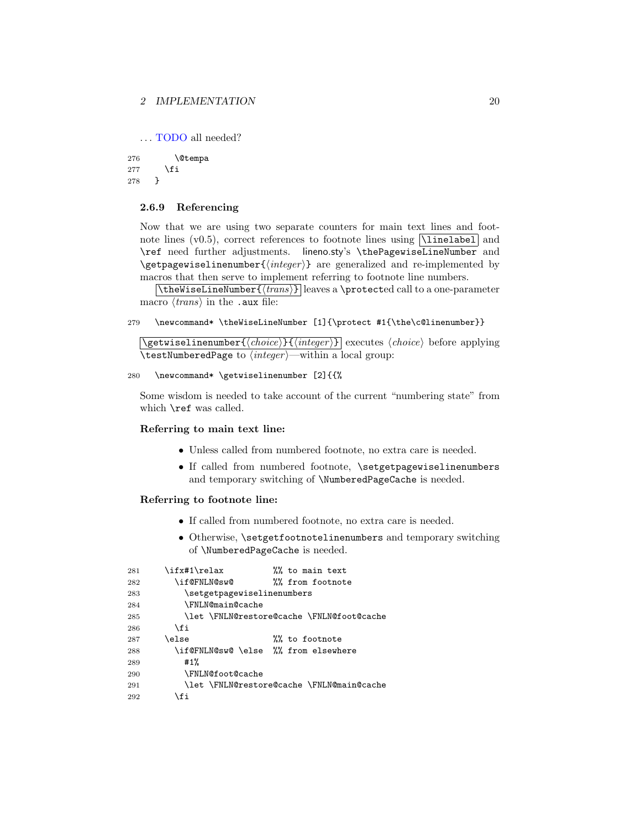... TODO all needed?

276 \@tempa  $277$  \fi 278 }

## <span id="page-19-0"></span>2.6.9 Referencing

Now that we are using two separate counters for main text lines and footnote lines (v0.5), correct references to footnote lines using  $\lvert$ linelabel and \ref need further adjustments. lineno.sty's \thePagewiseLineNumber and \getpagewiselinenumber $\{\langle \text{integer} \rangle\}$  are generalized and re-implemented by macros that then serve to implement referring to footnote line numbers.

 $\{\theta\}$  leaves a \protected call to a one-parameter macro  $\langle trans \rangle$  in the .aux file:

```
279 \newcommand* \theWiseLineNumber [1]{\protect #1{\the\c@linenumber}}
```
 $\sqrt{\text{getwiselinenumber}\{\langle choice \rangle\}\{\langle integer \rangle\}}$  executes  $\langle choice \rangle$  before applying \testNumberedPage to  $\langle integer \rangle$ —within a local group:

```
280 \newcommand* \getwiselinenumber [2]{{%
```
Some wisdom is needed to take account of the current "numbering state" from which \ref was called.

## Referring to main text line:

- Unless called from numbered footnote, no extra care is needed.
- If called from numbered footnote, \setgetpagewiselinenumbers and temporary switching of \NumberedPageCache is needed.

#### Referring to footnote line:

- If called from numbered footnote, no extra care is needed.
- Otherwise, \setgetfootnotelinenumbers and temporary switching of \NumberedPageCache is needed.

| 281 | \ifx#1\relax                         | %% to main text                           |
|-----|--------------------------------------|-------------------------------------------|
| 282 | \if@FNLN@sw@                         | <i>W</i> from footnote                    |
| 283 | \setgetpagewiselinenumbers           |                                           |
| 284 | <b>\FNLN@main@cache</b>              |                                           |
| 285 |                                      | \let \FNLN@restore@cache \FNLN@foot@cache |
| 286 | \fi                                  |                                           |
| 287 | \else                                | %% to footnote                            |
| 288 | \if@FNLN@sw@ \else %% from elsewhere |                                           |
| 289 | #1%                                  |                                           |
| 290 | <b>\FNLN@foot@cache</b>              |                                           |
| 291 |                                      | \let \FNLN@restore@cache \FNLN@main@cache |
| 292 | \fi                                  |                                           |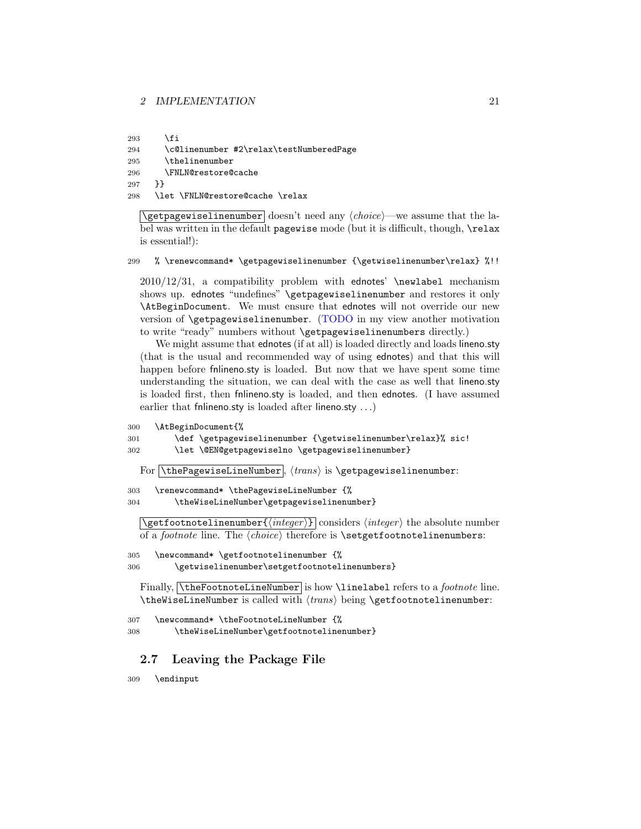293  $\forall$ fi

```
294 \c@linenumber #2\relax\testNumberedPage
```

```
295 \thelinenumber
```

```
296 \FNLN@restore@cache
```

```
297 }}
```

```
298 \let \FNLN@restore@cache \relax
```
 $\sqrt{\text{getpagewiselinenumber}}$  doesn't need any  $\langle choice \rangle$ —we assume that the label was written in the default pagewise mode (but it is difficult, though, \relax is essential!):

299 % \renewcommand\* \getpagewiselinenumber {\getwiselinenumber\relax} %!!

 $2010/12/31$ , a compatibility problem with ednotes' \newlabel mechanism shows up. ednotes "undefines" \getpagewiselinenumber and restores it only \AtBeginDocument. We must ensure that ednotes will not override our new version of \getpagewiselinenumber. (TODO in my view another motivation to write "ready" numbers without \getpagewiselinenumbers directly.)

We might assume that ednotes (if at all) is loaded directly and loads lineno.sty (that is the usual and recommended way of using ednotes) and that this will happen before fnlineno.sty is loaded. But now that we have spent some time understanding the situation, we can deal with the case as well that lineno.sty is loaded first, then fnlineno.sty is loaded, and then ednotes. (I have assumed earlier that filineno.sty is loaded after lineno.sty ...)

```
300 \AtBeginDocument{%
```

```
301 \def \getpagewiselinenumber {\getwiselinenumber\relax}% sic!
302 \let \@EN@getpagewiselno \getpagewiselinenumber}
```
For  $\lceil \theta \rceil$   $\theta$  is  $\frac{1}{n}$  is  $\epsilon$  is  $\theta$  is  $\theta$  is  $\theta$  is  $\theta$  is  $\theta$  is  $\theta$  is  $\theta$  is  $\theta$  is  $\theta$  is  $\theta$  is  $\theta$  is  $\theta$  is  $\theta$  is  $\theta$  is  $\theta$  is  $\theta$  is  $\theta$  is  $\theta$  is  $\theta$  is  $\theta$  is  $\theta$  is  $\theta$  is

303 \renewcommand\* \thePagewiseLineNumber {%

304 \theWiseLineNumber\getpagewiselinenumber}

 $\setminus$ getfootnotelinenumber $\{ \langle integer \rangle \}$  considers  $\langle integer \rangle$  the absolute number of a footnote line. The hchoicei therefore is \setgetfootnotelinenumbers:

```
305 \newcommand* \getfootnotelinenumber {%
```
306 \getwiselinenumber\setgetfootnotelinenumbers}

Finally, *theFootnoteLineNumber* is how *\linelabel refers to a footnote line*. \theWiseLineNumber is called with  $\langle trans \rangle$  being \getfootnotelinenumber:

```
307 \newcommand* \theFootnoteLineNumber {%
```
308 \theWiseLineNumber\getfootnotelinenumber}

## <span id="page-20-0"></span>2.7 Leaving the Package File

309 \endinput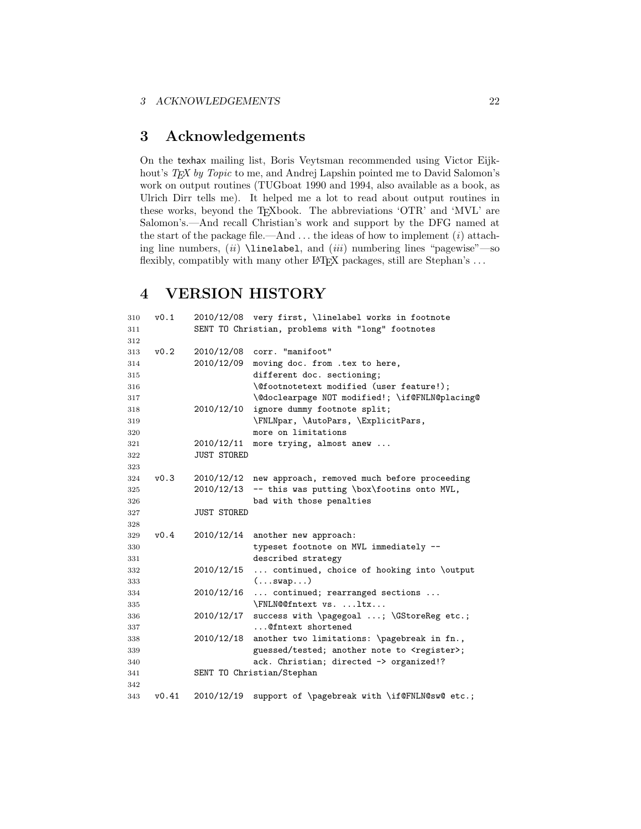## <span id="page-21-0"></span>3 Acknowledgements

On the texhax mailing list, Boris Veytsman recommended using Victor Eijkhout's TEX by Topic to me, and Andrej Lapshin pointed me to David Salomon's work on output routines (TUGboat 1990 and 1994, also available as a book, as Ulrich Dirr tells me). It helped me a lot to read about output routines in these works, beyond the TEXbook. The abbreviations 'OTR' and 'MVL' are Salomon's.—And recall Christian's work and support by the DFG named at the start of the package file.—And  $\dots$  the ideas of how to implement  $(i)$  attaching line numbers,  $(ii)$  **\linelabel**, and  $(iii)$  numbering lines "pagewise"—so flexibly, compatibly with many other LATEX packages, still are Stephan's  $\ldots$ 

## <span id="page-21-1"></span>4 VERSION HISTORY

| 310 | v0.1  |                    | 2010/12/08 very first, \linelabel works in footnote    |
|-----|-------|--------------------|--------------------------------------------------------|
| 311 |       |                    | SENT TO Christian, problems with "long" footnotes      |
| 312 |       |                    |                                                        |
| 313 | v0.2  | 2010/12/08         | corr. "manifoot"                                       |
| 314 |       | 2010/12/09         | moving doc. from .tex to here,                         |
| 315 |       |                    | different doc. sectioning;                             |
| 316 |       |                    | \@footnotetext modified (user feature!);               |
| 317 |       |                    | \@doclearpage NOT modified!; \if@FNLN@placing@         |
| 318 |       | 2010/12/10         | ignore dummy footnote split;                           |
| 319 |       |                    | \FNLNpar, \AutoPars, \ExplicitPars,                    |
| 320 |       |                    | more on limitations                                    |
| 321 |       | 2010/12/11         | more trying, almost anew                               |
| 322 |       | <b>JUST STORED</b> |                                                        |
| 323 |       |                    |                                                        |
| 324 | v0.3  | 2010/12/12         | new approach, removed much before proceeding           |
| 325 |       | 2010/12/13         | -- this was putting \box\footins onto MVL,             |
| 326 |       |                    | bad with those penalties                               |
| 327 |       | <b>JUST STORED</b> |                                                        |
| 328 |       |                    |                                                        |
| 329 | v0.4  | 2010/12/14         | another new approach:                                  |
| 330 |       |                    | typeset footnote on MVL immediately --                 |
| 331 |       |                    | described strategy                                     |
| 332 |       | 2010/12/15         | continued, choice of hooking into \output              |
| 333 |       |                    | (swap)                                                 |
| 334 |       |                    | 2010/12/16  continued; rearranged sections             |
| 335 |       |                    | \FNLN@@fntext vs. ltx                                  |
| 336 |       | 2010/12/17         | success with \pagegoal ; \GStoreReg etc.;              |
| 337 |       |                    | @fntext shortened                                      |
| 338 |       | 2010/12/18         | another two limitations: \pagebreak in fn.,            |
| 339 |       |                    | guessed/tested; another note to <register>;</register> |
| 340 |       |                    | ack. Christian; directed -> organized!?                |
| 341 |       |                    | SENT TO Christian/Stephan                              |
| 342 |       |                    |                                                        |
| 343 | v0.41 | 2010/12/19         | support of \pagebreak with \if@FNLN@sw@ etc.;          |